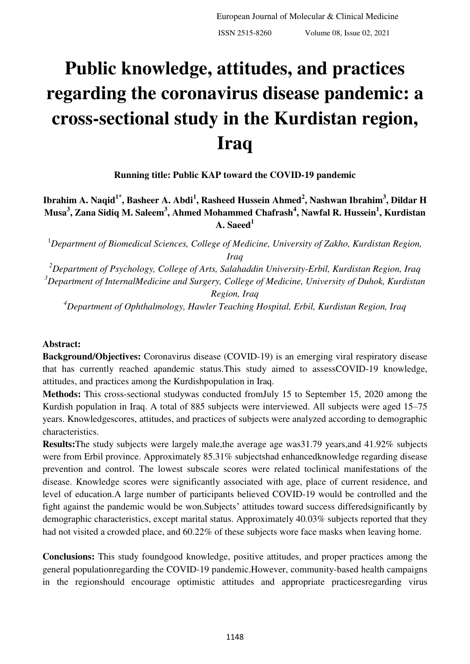# **Public knowledge, attitudes, and practices regarding the coronavirus disease pandemic: a cross-sectional study in the Kurdistan region, Iraq**

**Running title: Public KAP toward the COVID-19 pandemic** 

**Ibrahim A. Naqid1\*, Basheer A. Abdi<sup>1</sup> , Rasheed Hussein Ahmed<sup>2</sup> , Nashwan Ibrahim<sup>3</sup> , Dildar H Musa<sup>3</sup> , Zana Sidiq M. Saleem<sup>3</sup> , Ahmed Mohammed Chafrash<sup>4</sup> , Nawfal R. Hussein<sup>1</sup> , Kurdistan A. Saeed<sup>1</sup>**

<sup>1</sup>*Department of Biomedical Sciences, College of Medicine, University of Zakho, Kurdistan Region, Iraq* 

*<sup>2</sup>Department of Psychology, College of Arts, Salahaddin University-Erbil, Kurdistan Region, Iraq <sup>3</sup>Department of InternalMedicine and Surgery, College of Medicine, University of Duhok, Kurdistan Region, Iraq* 

*<sup>4</sup>Department of Ophthalmology, Hawler Teaching Hospital, Erbil, Kurdistan Region, Iraq* 

#### **Abstract:**

**Background/Objectives:** Coronavirus disease (COVID-19) is an emerging viral respiratory disease that has currently reached apandemic status.This study aimed to assessCOVID-19 knowledge, attitudes, and practices among the Kurdishpopulation in Iraq.

**Methods:** This cross-sectional studywas conducted fromJuly 15 to September 15, 2020 among the Kurdish population in Iraq. A total of 885 subjects were interviewed. All subjects were aged 15–75 years. Knowledgescores, attitudes, and practices of subjects were analyzed according to demographic characteristics.

**Results:**The study subjects were largely male,the average age was31.79 years,and 41.92% subjects were from Erbil province. Approximately 85.31% subjectshad enhancedknowledge regarding disease prevention and control. The lowest subscale scores were related toclinical manifestations of the disease. Knowledge scores were significantly associated with age, place of current residence, and level of education.A large number of participants believed COVID-19 would be controlled and the fight against the pandemic would be won.Subjects' attitudes toward success differedsignificantly by demographic characteristics, except marital status. Approximately 40.03% subjects reported that they had not visited a crowded place, and 60.22% of these subjects wore face masks when leaving home.

**Conclusions:** This study foundgood knowledge, positive attitudes, and proper practices among the general populationregarding the COVID-19 pandemic.However, community-based health campaigns in the regionshould encourage optimistic attitudes and appropriate practicesregarding virus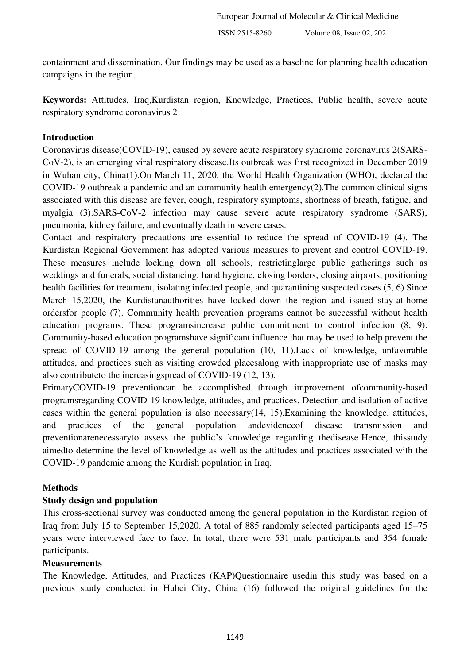containment and dissemination. Our findings may be used as a baseline for planning health education campaigns in the region.

**Keywords:** Attitudes, Iraq,Kurdistan region, Knowledge, Practices, Public health, severe acute respiratory syndrome coronavirus 2

#### **Introduction**

Coronavirus disease(COVID-19), caused by severe acute respiratory syndrome coronavirus 2(SARS-CoV-2), is an emerging viral respiratory disease.Its outbreak was first recognized in December 2019 in Wuhan city, China[\(1\)](#page-6-0).On March 11, 2020, the World Health Organization (WHO), declared the COVID-19 outbreak a pandemic and an community health emergency[\(2\)](#page-6-1).The common clinical signs associated with this disease are fever, cough, respiratory symptoms, shortness of breath, fatigue, and myalgia [\(3\)](#page-6-2).SARS-CoV-2 infection may cause severe acute respiratory syndrome (SARS), pneumonia, kidney failure, and eventually death in severe cases.

Contact and respiratory precautions are essential to reduce the spread of COVID-19 [\(4\)](#page-6-3). The Kurdistan Regional Government has adopted various measures to prevent and control COVID-19. These measures include locking down all schools, restrictinglarge public gatherings such as weddings and funerals, social distancing, hand hygiene, closing borders, closing airports, positioning health facilities for treatment, isolating infected people, and quarantining suspected cases [\(5,](#page-6-4) [6\)](#page-6-5). Since March 15,2020, the Kurdistanauthorities have locked down the region and issued stay-at-home ordersfor people [\(7\)](#page-6-6). Community health prevention programs cannot be successful without health education programs. These programsincrease public commitment to control infection [\(8,](#page-6-7) [9\)](#page-6-8). Community-based education programshave significant influence that may be used to help prevent the spread of COVID-19 among the general population [\(10,](#page-6-9) [11\)](#page-6-10).Lack of knowledge, unfavorable attitudes, and practices such as visiting crowded placesalong with inappropriate use of masks may also contributeto the increasingspread of COVID-19 [\(12,](#page-6-11) [13\)](#page-6-12).

PrimaryCOVID-19 preventioncan be accomplished through improvement ofcommunity-based programsregarding COVID-19 knowledge, attitudes, and practices. Detection and isolation of active cases within the general population is also necessary[\(14,](#page-6-13) [15\)](#page-6-14).Examining the knowledge, attitudes, and practices of the general population andevidenceof disease transmission and preventionarenecessaryto assess the public's knowledge regarding thedisease.Hence, thisstudy aimedto determine the level of knowledge as well as the attitudes and practices associated with the COVID-19 pandemic among the Kurdish population in Iraq.

#### **Methods**

#### **Study design and population**

This cross-sectional survey was conducted among the general population in the Kurdistan region of Iraq from July 15 to September 15,2020. A total of 885 randomly selected participants aged 15–75 years were interviewed face to face. In total, there were 531 male participants and 354 female participants.

#### **Measurements**

The Knowledge, Attitudes, and Practices (KAP)Questionnaire usedin this study was based on a previous study conducted in Hubei City, China [\(16\)](#page-7-0) followed the original guidelines for the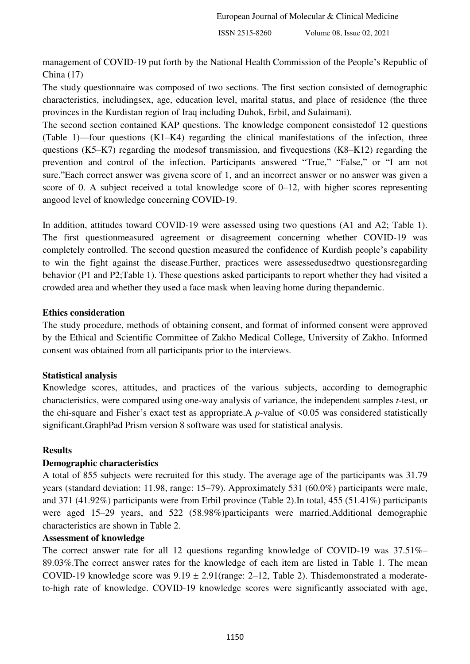management of COVID-19 put forth by the National Health Commission of the People's Republic of China [\(17\)](#page-7-1)

The study questionnaire was composed of two sections. The first section consisted of demographic characteristics, includingsex, age, education level, marital status, and place of residence (the three provinces in the Kurdistan region of Iraq including Duhok, Erbil, and Sulaimani).

The second section contained KAP questions. The knowledge component consistedof 12 questions (Table 1)—four questions (K1–K4) regarding the clinical manifestations of the infection, three questions (K5–K7) regarding the modesof transmission, and fivequestions (K8–K12) regarding the prevention and control of the infection. Participants answered "True," "False," or "I am not sure."Each correct answer was givena score of 1, and an incorrect answer or no answer was given a score of 0. A subject received a total knowledge score of 0–12, with higher scores representing angood level of knowledge concerning COVID-19.

In addition, attitudes toward COVID-19 were assessed using two questions (A1 and A2; Table 1). The first questionmeasured agreement or disagreement concerning whether COVID-19 was completely controlled. The second question measured the confidence of Kurdish people's capability to win the fight against the disease.Further, practices were assessedusedtwo questionsregarding behavior (P1 and P2;Table 1). These questions asked participants to report whether they had visited a crowded area and whether they used a face mask when leaving home during thepandemic.

#### **Ethics consideration**

The study procedure, methods of obtaining consent, and format of informed consent were approved by the Ethical and Scientific Committee of Zakho Medical College, University of Zakho. Informed consent was obtained from all participants prior to the interviews.

#### **Statistical analysis**

Knowledge scores, attitudes, and practices of the various subjects, according to demographic characteristics, were compared using one-way analysis of variance, the independent samples *t*-test, or the chi-square and Fisher's exact test as appropriate.A *p*-value of <0.05 was considered statistically significant.GraphPad Prism version 8 software was used for statistical analysis.

#### **Results**

#### **Demographic characteristics**

A total of 855 subjects were recruited for this study. The average age of the participants was 31.79 years (standard deviation: 11.98, range: 15–79). Approximately 531 (60.0%) participants were male, and 371 (41.92%) participants were from Erbil province (Table 2).In total, 455 (51.41%) participants were aged 15–29 years, and 522 (58.98%)participants were married.Additional demographic characteristics are shown in Table 2.

#### **Assessment of knowledge**

The correct answer rate for all 12 questions regarding knowledge of COVID-19 was  $37.51\%$ 89.03%.The correct answer rates for the knowledge of each item are listed in Table 1. The mean COVID-19 knowledge score was  $9.19 \pm 2.91$ (range: 2–12, Table 2). Thisdemonstrated a moderateto-high rate of knowledge. COVID-19 knowledge scores were significantly associated with age,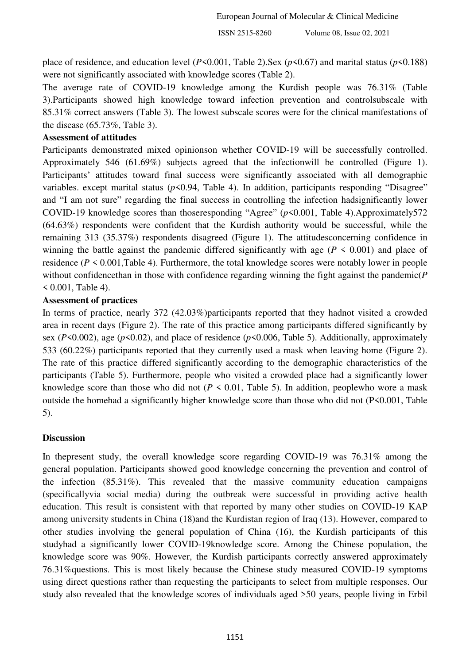place of residence, and education level ( $P$ <0.001, Table 2).Sex ( $p$ <0.67) and marital status ( $p$ <0.188) were not significantly associated with knowledge scores (Table 2).

The average rate of COVID-19 knowledge among the Kurdish people was 76.31% (Table 3).Participants showed high knowledge toward infection prevention and controlsubscale with 85.31% correct answers (Table 3). The lowest subscale scores were for the clinical manifestations of the disease (65.73%, Table 3).

#### **Assessment of attitudes**

Participants demonstrated mixed opinionson whether COVID-19 will be successfully controlled. Approximately 546 (61.69%) subjects agreed that the infectionwill be controlled (Figure 1). Participants' attitudes toward final success were significantly associated with all demographic variables. except marital status ( $p$ <0.94, Table 4). In addition, participants responding "Disagree" and "I am not sure" regarding the final success in controlling the infection hadsignificantly lower COVID-19 knowledge scores than thoseresponding "Agree" (*p*<0.001, Table 4).Approximately572 (64.63%) respondents were confident that the Kurdish authority would be successful, while the remaining 313 (35.37%) respondents disagreed (Figure 1). The attitudesconcerning confidence in winning the battle against the pandemic differed significantly with age ( $P \le 0.001$ ) and place of residence ( $P \le 0.001$ , Table 4). Furthermore, the total knowledge scores were notably lower in people without confidencethan in those with confidence regarding winning the fight against the pandemic(*P*   $0.001$ , Table 4).

#### **Assessment of practices**

In terms of practice, nearly 372 (42.03%)participants reported that they hadnot visited a crowded area in recent days (Figure 2). The rate of this practice among participants differed significantly by sex (*P*<0.002), age (*p*<0.02), and place of residence (*p*<0.006, Table 5). Additionally, approximately 533 (60.22%) participants reported that they currently used a mask when leaving home (Figure 2). The rate of this practice differed significantly according to the demographic characteristics of the participants (Table 5). Furthermore, people who visited a crowded place had a significantly lower knowledge score than those who did not  $(P \le 0.01$ , Table 5). In addition, peoplewho wore a mask outside the homehad a significantly higher knowledge score than those who did not (P<0.001, Table 5).

#### **Discussion**

In the present study, the overall knowledge score regarding COVID-19 was  $76.31\%$  among the general population. Participants showed good knowledge concerning the prevention and control of the infection (85.31%). This revealed that the massive community education campaigns (specificallyvia social media) during the outbreak were successful in providing active health education. This result is consistent with that reported by many other studies on COVID-19 KAP among university students in China [\(18\)](#page-7-2)and the Kurdistan region of Iraq [\(13\)](#page-6-12). However, compared to other studies involving the general population of China [\(16\)](#page-7-0), the Kurdish participants of this studyhad a significantly lower COVID-19knowledge score. Among the Chinese population, the knowledge score was 90%. However, the Kurdish participants correctly answered approximately 76.31%questions. This is most likely because the Chinese study measured COVID-19 symptoms using direct questions rather than requesting the participants to select from multiple responses. Our study also revealed that the knowledge scores of individuals aged >50 years, people living in Erbil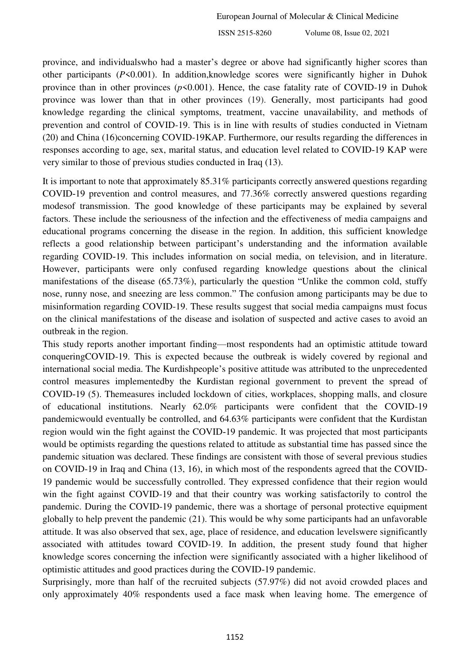province, and individualswho had a master's degree or above had significantly higher scores than other participants (*P*<0.001). In addition,knowledge scores were significantly higher in Duhok province than in other provinces  $(p<0.001)$ . Hence, the case fatality rate of COVID-19 in Duhok province was lower than that in other provinces [\(19\)](#page-7-3). Generally, most participants had good knowledge regarding the clinical symptoms, treatment, vaccine unavailability, and methods of prevention and control of COVID-19. This is in line with results of studies conducted in Vietnam [\(20\)](#page-7-4) and China [\(16\)](#page-7-0)concerning COVID-19KAP. Furthermore, our results regarding the differences in responses according to age, sex, marital status, and education level related to COVID-19 KAP were very similar to those of previous studies conducted in Iraq [\(13\)](#page-6-12).

It is important to note that approximately 85.31% participants correctly answered questions regarding COVID‑19 prevention and control measures, and 77.36% correctly answered questions regarding modesof transmission. The good knowledge of these participants may be explained by several factors. These include the seriousness of the infection and the effectiveness of media campaigns and educational programs concerning the disease in the region. In addition, this sufficient knowledge reflects a good relationship between participant's understanding and the information available regarding COVID-19. This includes information on social media, on television, and in literature. However, participants were only confused regarding knowledge questions about the clinical manifestations of the disease (65.73%), particularly the question "Unlike the common cold, stuffy nose, runny nose, and sneezing are less common." The confusion among participants may be due to misinformation regarding COVID-19. These results suggest that social media campaigns must focus on the clinical manifestations of the disease and isolation of suspected and active cases to avoid an outbreak in the region.

This study reports another important finding—most respondents had an optimistic attitude toward conqueringCOVID-19. This is expected because the outbreak is widely covered by regional and international social media. The Kurdishpeople's positive attitude was attributed to the unprecedented control measures implementedby the Kurdistan regional government to prevent the spread of COVID‑19 [\(5\)](#page-6-4). Themeasures included lockdown of cities, workplaces, shopping malls, and closure of educational institutions. Nearly 62.0% participants were confident that the COVID-19 pandemicwould eventually be controlled, and 64.63% participants were confident that the Kurdistan region would win the fight against the COVID-19 pandemic. It was projected that most participants would be optimists regarding the questions related to attitude as substantial time has passed since the pandemic situation was declared. These findings are consistent with those of several previous studies on COVID-19 in Iraq and China [\(13,](#page-6-12) [16\)](#page-7-0), in which most of the respondents agreed that the COVID-19 pandemic would be successfully controlled. They expressed confidence that their region would win the fight against COVID-19 and that their country was working satisfactorily to control the pandemic. During the COVID-19 pandemic, there was a shortage of personal protective equipment globally to help prevent the pandemic [\(21\)](#page-7-5). This would be why some participants had an unfavorable attitude. It was also observed that sex, age, place of residence, and education levelswere significantly associated with attitudes toward COVID-19. In addition, the present study found that higher knowledge scores concerning the infection were significantly associated with a higher likelihood of optimistic attitudes and good practices during the COVID‑19 pandemic.

Surprisingly, more than half of the recruited subjects (57.97%) did not avoid crowded places and only approximately 40% respondents used a face mask when leaving home. The emergence of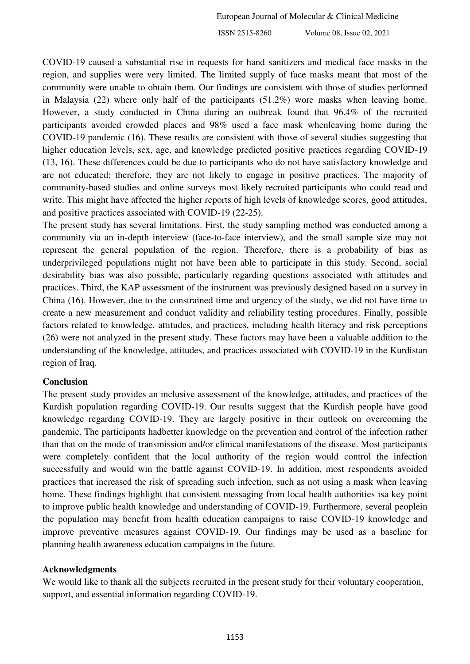COVID-19 caused a substantial rise in requests for hand sanitizers and medical face masks in the region, and supplies were very limited. The limited supply of face masks meant that most of the community were unable to obtain them. Our findings are consistent with those of studies performed in Malaysia [\(22\)](#page-7-6) where only half of the participants (51.2%) wore masks when leaving home. However, a study conducted in China during an outbreak found that 96.4% of the recruited participants avoided crowded places and 98% used a face mask whenleaving home during the COVID‑19 pandemic [\(16\)](#page-7-0). These results are consistent with those of several studies suggesting that higher education levels, sex, age, and knowledge predicted positive practices regarding COVID-19 [\(13,](#page-6-12) [16\)](#page-7-0). These differences could be due to participants who do not have satisfactory knowledge and are not educated; therefore, they are not likely to engage in positive practices. The majority of community-based studies and online surveys most likely recruited participants who could read and write. This might have affected the higher reports of high levels of knowledge scores, good attitudes, and positive practices associated with COVID-19 [\(22-25\)](#page-7-6).

The present study has several limitations. First, the study sampling method was conducted among a community via an in-depth interview (face-to-face interview), and the small sample size may not represent the general population of the region. Therefore, there is a probability of bias as underprivileged populations might not have been able to participate in this study. Second, social desirability bias was also possible, particularly regarding questions associated with attitudes and practices. Third, the KAP assessment of the instrument was previously designed based on a survey in China [\(16\)](#page-7-0). However, due to the constrained time and urgency of the study, we did not have time to create a new measurement and conduct validity and reliability testing procedures. Finally, possible factors related to knowledge, attitudes, and practices, including health literacy and risk perceptions [\(26\)](#page-7-7) were not analyzed in the present study. These factors may have been a valuable addition to the understanding of the knowledge, attitudes, and practices associated with COVID-19 in the Kurdistan region of Iraq.

#### **Conclusion**

The present study provides an inclusive assessment of the knowledge, attitudes, and practices of the Kurdish population regarding COVID-19. Our results suggest that the Kurdish people have good knowledge regarding COVID-19. They are largely positive in their outlook on overcoming the pandemic. The participants hadbetter knowledge on the prevention and control of the infection rather than that on the mode of transmission and/or clinical manifestations of the disease. Most participants were completely confident that the local authority of the region would control the infection successfully and would win the battle against COVID-19. In addition, most respondents avoided practices that increased the risk of spreading such infection, such as not using a mask when leaving home. These findings highlight that consistent messaging from local health authorities isa key point to improve public health knowledge and understanding of COVID-19. Furthermore, several peoplein the population may benefit from health education campaigns to raise COVID-19 knowledge and improve preventive measures against COVID-19. Our findings may be used as a baseline for planning health awareness education campaigns in the future.

#### **Acknowledgments**

We would like to thank all the subjects recruited in the present study for their voluntary cooperation, support, and essential information regarding COVID-19.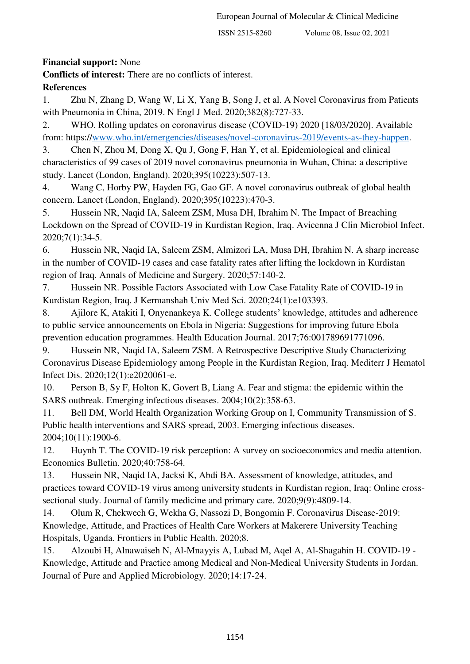**Financial support:** None

**Conflicts of interest:** There are no conflicts of interest.

# **References**

<span id="page-6-0"></span>1. Zhu N, Zhang D, Wang W, Li X, Yang B, Song J, et al. A Novel Coronavirus from Patients with Pneumonia in China, 2019. N Engl J Med. 2020;382(8):727-33.

<span id="page-6-1"></span>2. WHO. Rolling updates on coronavirus disease (COVID-19) 2020 [18/03/2020]. Available from: https:/[/www.who.int/emergencies/diseases/novel-coronavirus-2019/events-as-they-happen.](http://www.who.int/emergencies/diseases/novel-coronavirus-2019/events-as-they-happen)

<span id="page-6-2"></span>3. Chen N, Zhou M, Dong X, Qu J, Gong F, Han Y, et al. Epidemiological and clinical characteristics of 99 cases of 2019 novel coronavirus pneumonia in Wuhan, China: a descriptive study. Lancet (London, England). 2020;395(10223):507-13.

<span id="page-6-3"></span>4. Wang C, Horby PW, Hayden FG, Gao GF. A novel coronavirus outbreak of global health concern. Lancet (London, England). 2020;395(10223):470-3.

<span id="page-6-4"></span>5. Hussein NR, Naqid IA, Saleem ZSM, Musa DH, Ibrahim N. The Impact of Breaching Lockdown on the Spread of COVID-19 in Kurdistan Region, Iraq. Avicenna J Clin Microbiol Infect. 2020;7(1):34-5.

<span id="page-6-5"></span>6. Hussein NR, Naqid IA, Saleem ZSM, Almizori LA, Musa DH, Ibrahim N. A sharp increase in the number of COVID-19 cases and case fatality rates after lifting the lockdown in Kurdistan region of Iraq. Annals of Medicine and Surgery. 2020;57:140-2.

<span id="page-6-6"></span>7. Hussein NR. Possible Factors Associated with Low Case Fatality Rate of COVID-19 in Kurdistan Region, Iraq. J Kermanshah Univ Med Sci. 2020;24(1):e103393.

<span id="page-6-7"></span>8. Ajilore K, Atakiti I, Onyenankeya K. College students' knowledge, attitudes and adherence to public service announcements on Ebola in Nigeria: Suggestions for improving future Ebola prevention education programmes. Health Education Journal. 2017;76:001789691771096.

<span id="page-6-8"></span>9. Hussein NR, Naqid IA, Saleem ZSM. A Retrospective Descriptive Study Characterizing Coronavirus Disease Epidemiology among People in the Kurdistan Region, Iraq. Mediterr J Hematol Infect Dis. 2020;12(1):e2020061-e.

<span id="page-6-9"></span>10. Person B, Sy F, Holton K, Govert B, Liang A. Fear and stigma: the epidemic within the SARS outbreak. Emerging infectious diseases. 2004;10(2):358-63.

<span id="page-6-10"></span>11. Bell DM, World Health Organization Working Group on I, Community Transmission of S. Public health interventions and SARS spread, 2003. Emerging infectious diseases. 2004;10(11):1900-6.

<span id="page-6-11"></span>12. Huynh T. The COVID-19 risk perception: A survey on socioeconomics and media attention. Economics Bulletin. 2020;40:758-64.

<span id="page-6-12"></span>13. Hussein NR, Naqid IA, Jacksi K, Abdi BA. Assessment of knowledge, attitudes, and practices toward COVID-19 virus among university students in Kurdistan region, Iraq: Online crosssectional study. Journal of family medicine and primary care. 2020;9(9):4809-14.

<span id="page-6-13"></span>14. Olum R, Chekwech G, Wekha G, Nassozi D, Bongomin F. Coronavirus Disease-2019: Knowledge, Attitude, and Practices of Health Care Workers at Makerere University Teaching Hospitals, Uganda. Frontiers in Public Health. 2020;8.

<span id="page-6-14"></span>15. Alzoubi H, Alnawaiseh N, Al-Mnayyis A, Lubad M, Aqel A, Al-Shagahin H. COVID-19 - Knowledge, Attitude and Practice among Medical and Non-Medical University Students in Jordan. Journal of Pure and Applied Microbiology. 2020;14:17-24.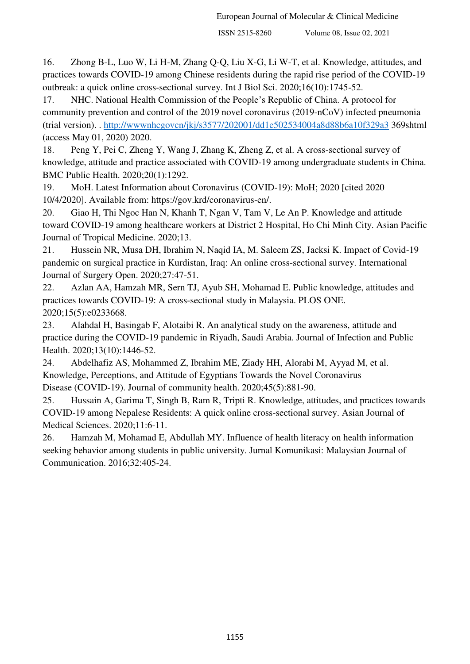<span id="page-7-0"></span>16. Zhong B-L, Luo W, Li H-M, Zhang Q-Q, Liu X-G, Li W-T, et al. Knowledge, attitudes, and practices towards COVID-19 among Chinese residents during the rapid rise period of the COVID-19 outbreak: a quick online cross-sectional survey. Int J Biol Sci. 2020;16(10):1745-52.

<span id="page-7-1"></span>17. NHC. National Health Commission of the People's Republic of China. A protocol for community prevention and control of the 2019 novel coronavirus (2019-nCoV) infected pneumonia (trial version). .<http://wwwnhcgovcn/jkj/s3577/202001/dd1e502534004a8d88b6a10f329a3>369shtml (access May 01, 2020) 2020.

<span id="page-7-2"></span>18. Peng Y, Pei C, Zheng Y, Wang J, Zhang K, Zheng Z, et al. A cross-sectional survey of knowledge, attitude and practice associated with COVID-19 among undergraduate students in China. BMC Public Health. 2020;20(1):1292.

<span id="page-7-3"></span>19. MoH. Latest Information about Coronavirus (COVID-19): MoH; 2020 [cited 2020 10/4/2020]. Available from: https://gov.krd/coronavirus-en/.

<span id="page-7-4"></span>20. Giao H, Thi Ngoc Han N, Khanh T, Ngan V, Tam V, Le An P. Knowledge and attitude toward COVID-19 among healthcare workers at District 2 Hospital, Ho Chi Minh City. Asian Pacific Journal of Tropical Medicine. 2020;13.

<span id="page-7-5"></span>21. Hussein NR, Musa DH, Ibrahim N, Naqid IA, M. Saleem ZS, Jacksi K. Impact of Covid-19 pandemic on surgical practice in Kurdistan, Iraq: An online cross-sectional survey. International Journal of Surgery Open. 2020;27:47-51.

<span id="page-7-6"></span>22. Azlan AA, Hamzah MR, Sern TJ, Ayub SH, Mohamad E. Public knowledge, attitudes and practices towards COVID-19: A cross-sectional study in Malaysia. PLOS ONE. 2020;15(5):e0233668.

23. Alahdal H, Basingab F, Alotaibi R. An analytical study on the awareness, attitude and practice during the COVID-19 pandemic in Riyadh, Saudi Arabia. Journal of Infection and Public Health. 2020;13(10):1446-52.

24. Abdelhafiz AS, Mohammed Z, Ibrahim ME, Ziady HH, Alorabi M, Ayyad M, et al. Knowledge, Perceptions, and Attitude of Egyptians Towards the Novel Coronavirus Disease (COVID-19). Journal of community health. 2020;45(5):881-90.

25. Hussain A, Garima T, Singh B, Ram R, Tripti R. Knowledge, attitudes, and practices towards COVID-19 among Nepalese Residents: A quick online cross-sectional survey. Asian Journal of Medical Sciences. 2020;11:6-11.

<span id="page-7-7"></span>26. Hamzah M, Mohamad E, Abdullah MY. Influence of health literacy on health information seeking behavior among students in public university. Jurnal Komunikasi: Malaysian Journal of Communication. 2016;32:405-24.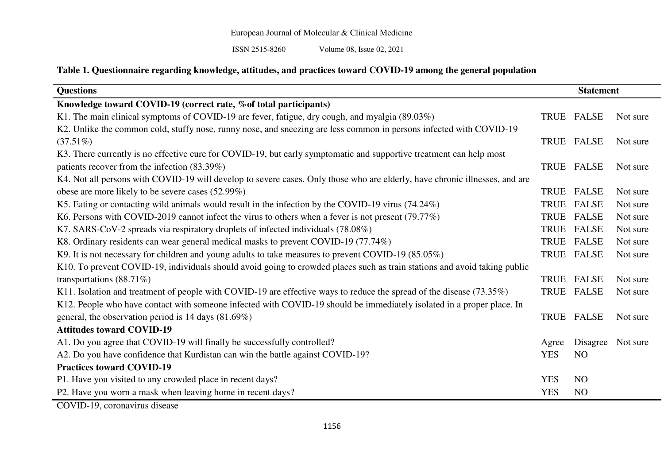ISSN 2515-8260 Volume 08, Issue 02, 2021

# **Table 1. Questionnaire regarding knowledge, attitudes, and practices toward COVID-19 among the general population**

| <b>Questions</b>                                                                                                            | <b>Statement</b> |                |          |
|-----------------------------------------------------------------------------------------------------------------------------|------------------|----------------|----------|
| Knowledge toward COVID-19 (correct rate, % of total participants)                                                           |                  |                |          |
| K1. The main clinical symptoms of COVID-19 are fever, fatigue, dry cough, and myalgia (89.03%)                              |                  | TRUE FALSE     | Not sure |
| K2. Unlike the common cold, stuffy nose, runny nose, and sneezing are less common in persons infected with COVID-19         |                  |                |          |
| $(37.51\%)$                                                                                                                 |                  | TRUE FALSE     | Not sure |
| K3. There currently is no effective cure for COVID-19, but early symptomatic and supportive treatment can help most         |                  |                |          |
| patients recover from the infection (83.39%)                                                                                |                  | TRUE FALSE     | Not sure |
| K4. Not all persons with COVID-19 will develop to severe cases. Only those who are elderly, have chronic illnesses, and are |                  |                |          |
| obese are more likely to be severe cases (52.99%)                                                                           | TRUE             | <b>FALSE</b>   | Not sure |
| K5. Eating or contacting wild animals would result in the infection by the COVID-19 virus (74.24%)                          | <b>TRUE</b>      | <b>FALSE</b>   | Not sure |
| K6. Persons with COVID-2019 cannot infect the virus to others when a fever is not present (79.77%)                          | <b>TRUE</b>      | <b>FALSE</b>   | Not sure |
| K7. SARS-CoV-2 spreads via respiratory droplets of infected individuals (78.08%)                                            | <b>TRUE</b>      | <b>FALSE</b>   | Not sure |
| K8. Ordinary residents can wear general medical masks to prevent COVID-19 (77.74%)                                          | TRUE             | <b>FALSE</b>   | Not sure |
| K9. It is not necessary for children and young adults to take measures to prevent COVID-19 (85.05%)                         |                  | TRUE FALSE     | Not sure |
| K10. To prevent COVID-19, individuals should avoid going to crowded places such as train stations and avoid taking public   |                  |                |          |
| transportations $(88.71\%)$                                                                                                 |                  | TRUE FALSE     | Not sure |
| K11. Isolation and treatment of people with COVID-19 are effective ways to reduce the spread of the disease (73.35%)        |                  | TRUE FALSE     | Not sure |
| K12. People who have contact with someone infected with COVID-19 should be immediately isolated in a proper place. In       |                  |                |          |
| general, the observation period is 14 days $(81.69\%)$                                                                      |                  | TRUE FALSE     | Not sure |
| <b>Attitudes toward COVID-19</b>                                                                                            |                  |                |          |
| A1. Do you agree that COVID-19 will finally be successfully controlled?                                                     | Agree            | Disagree       | Not sure |
| A2. Do you have confidence that Kurdistan can win the battle against COVID-19?                                              | <b>YES</b>       | NO             |          |
| <b>Practices toward COVID-19</b>                                                                                            |                  |                |          |
| P1. Have you visited to any crowded place in recent days?                                                                   | <b>YES</b>       | N <sub>O</sub> |          |
| P2. Have you worn a mask when leaving home in recent days?                                                                  | <b>YES</b>       | NO             |          |

COVID-19, coronavirus disease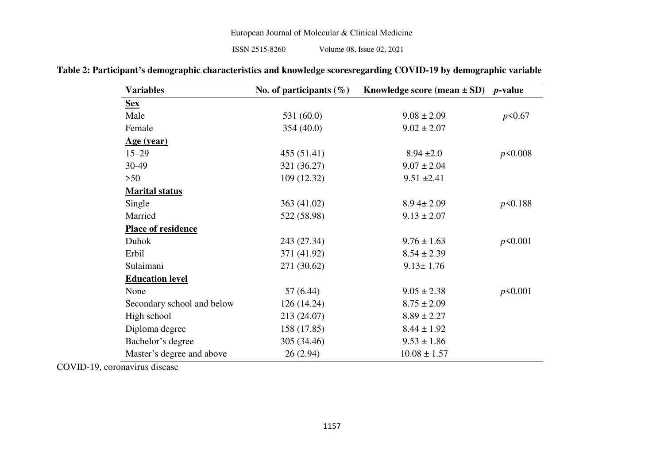| <b>Variables</b>           | No. of participants $(\%)$ | Knowledge score (mean $\pm$ SD) p-value |           |
|----------------------------|----------------------------|-----------------------------------------|-----------|
| <u>Sex</u>                 |                            |                                         |           |
| Male                       | 531 (60.0)                 | $9.08 \pm 2.09$                         | $p$ <0.67 |
| Female                     | 354 (40.0)                 | $9.02 \pm 2.07$                         |           |
| <u>Age (year)</u>          |                            |                                         |           |
| $15 - 29$                  | 455 (51.41)                | $8.94 \pm 2.0$                          | p<0.008   |
| 30-49                      | 321 (36.27)                | $9.07 \pm 2.04$                         |           |
| >50                        | 109(12.32)                 | $9.51 \pm 2.41$                         |           |
| <b>Marital status</b>      |                            |                                         |           |
| Single                     | 363 (41.02)                | $8.94 \pm 2.09$                         | p<0.188   |
| Married                    | 522 (58.98)                | $9.13 \pm 2.07$                         |           |
| <b>Place of residence</b>  |                            |                                         |           |
| Duhok                      | 243 (27.34)                | $9.76 \pm 1.63$                         | p<0.001   |
| Erbil                      | 371 (41.92)                | $8.54 \pm 2.39$                         |           |
| Sulaimani                  | 271 (30.62)                | $9.13 \pm 1.76$                         |           |
| <b>Education level</b>     |                            |                                         |           |
| None                       | 57 (6.44)                  | $9.05 \pm 2.38$                         | p<0.001   |
| Secondary school and below | 126(14.24)                 | $8.75 \pm 2.09$                         |           |
| High school                | 213 (24.07)                | $8.89 \pm 2.27$                         |           |
| Diploma degree             | 158 (17.85)                | $8.44 \pm 1.92$                         |           |
| Bachelor's degree          | 305 (34.46)                | $9.53 \pm 1.86$                         |           |
| Master's degree and above  | 26(2.94)                   | $10.08 \pm 1.57$                        |           |

| Table 2: Participant's demographic characteristics and knowledge scoresregarding COVID-19 by demographic variable |  |  |  |
|-------------------------------------------------------------------------------------------------------------------|--|--|--|
|-------------------------------------------------------------------------------------------------------------------|--|--|--|

COVID-19, coronavirus disease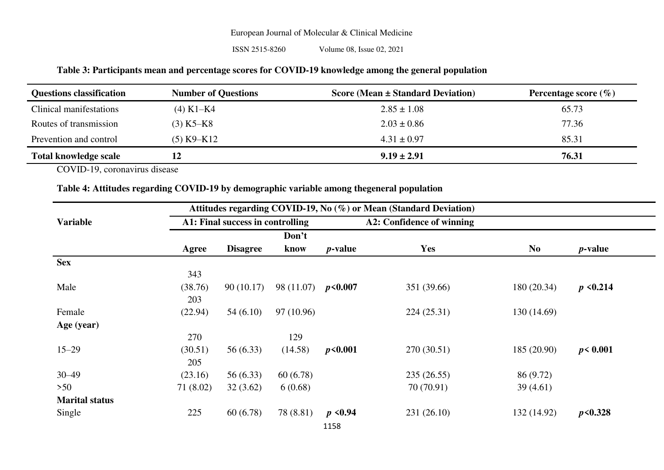ISSN 2515-8260 Volume 08, Issue 02, 2021

## **Table 3: Participants mean and percentage scores for COVID-19 knowledge among the general population**

| <b>Questions classification</b> | <b>Number of Questions</b> | Score (Mean $\pm$ Standard Deviation) | Percentage score $(\% )$ |
|---------------------------------|----------------------------|---------------------------------------|--------------------------|
| Clinical manifestations         | $(4)$ K1–K4                | $2.85 \pm 1.08$                       | 65.73                    |
| Routes of transmission          | $(3) K5-K8$                | $2.03 \pm 0.86$                       | 77.36                    |
| Prevention and control          | $(5)$ K9–K12               | $4.31 \pm 0.97$                       | 85.31                    |
| <b>Total knowledge scale</b>    | 12                         | $9.19 \pm 2.91$                       | 76.31                    |

COVID-19, coronavirus disease

#### **Table 4: Attitudes regarding COVID-19 by demographic variable among thegeneral population**

|                       |           |                                  |            |                 | Attitudes regarding COVID-19, No (%) or Mean (Standard Deviation) |                |               |
|-----------------------|-----------|----------------------------------|------------|-----------------|-------------------------------------------------------------------|----------------|---------------|
| <b>Variable</b>       |           | A1: Final success in controlling |            |                 | A2: Confidence of winning                                         |                |               |
|                       |           |                                  | Don't      |                 |                                                                   |                |               |
|                       | Agree     | <b>Disagree</b>                  | know       | <i>p</i> -value | Yes                                                               | N <sub>0</sub> | $p$ -value    |
| <b>Sex</b>            |           |                                  |            |                 |                                                                   |                |               |
|                       | 343       |                                  |            |                 |                                                                   |                |               |
| Male                  | (38.76)   | 90(10.17)                        | 98 (11.07) | p<0.007         | 351 (39.66)                                                       | 180 (20.34)    | $p \le 0.214$ |
|                       | 203       |                                  |            |                 |                                                                   |                |               |
| Female                | (22.94)   | 54(6.10)                         | 97 (10.96) |                 | 224(25.31)                                                        | 130 (14.69)    |               |
| Age (year)            |           |                                  |            |                 |                                                                   |                |               |
|                       | 270       |                                  | 129        |                 |                                                                   |                |               |
| $15 - 29$             | (30.51)   | 56(6.33)                         | (14.58)    | p<0.001         | 270 (30.51)                                                       | 185(20.90)     | p < 0.001     |
|                       | 205       |                                  |            |                 |                                                                   |                |               |
| $30 - 49$             | (23.16)   | 56 (6.33)                        | 60(6.78)   |                 | 235(26.55)                                                        | 86 (9.72)      |               |
| $>50$                 | 71 (8.02) | 32(3.62)                         | 6(0.68)    |                 | 70 (70.91)                                                        | 39 (4.61)      |               |
| <b>Marital status</b> |           |                                  |            |                 |                                                                   |                |               |
| Single                | 225       | 60(6.78)                         | 78 (8.81)  | $p \le 0.94$    | 231(26.10)                                                        | 132 (14.92)    | p<0.328       |
|                       |           |                                  |            | <b>1150</b>     |                                                                   |                |               |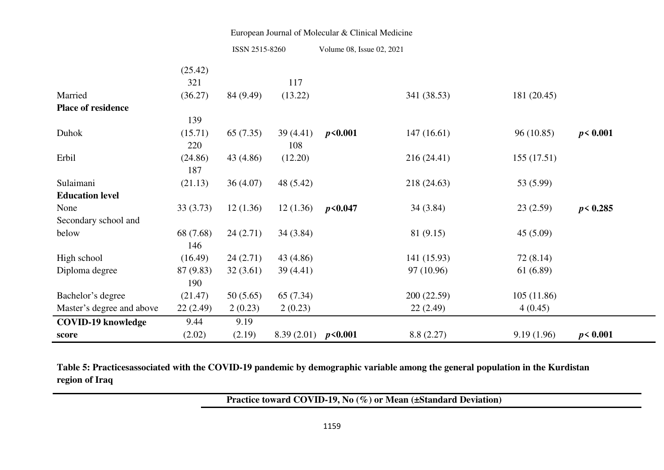| ISSN 2515-8260 | Volume 08, Issue 02, 2021 |
|----------------|---------------------------|
|                |                           |

|                           | (25.42)   |           |                         |         |             |            |           |
|---------------------------|-----------|-----------|-------------------------|---------|-------------|------------|-----------|
|                           | 321       |           | 117                     |         |             |            |           |
| Married                   | (36.27)   | 84 (9.49) | (13.22)                 |         | 341 (38.53) | 181(20.45) |           |
| <b>Place of residence</b> |           |           |                         |         |             |            |           |
|                           | 139       |           |                         |         |             |            |           |
| Duhok                     | (15.71)   | 65(7.35)  | 39 (4.41)               | p<0.001 | 147(16.61)  | 96(10.85)  | p < 0.001 |
|                           | 220       |           | 108                     |         |             |            |           |
| Erbil                     | (24.86)   | 43 (4.86) | (12.20)                 |         | 216(24.41)  | 155(17.51) |           |
|                           | 187       |           |                         |         |             |            |           |
| Sulaimani                 | (21.13)   | 36(4.07)  | 48 (5.42)               |         | 218 (24.63) | 53 (5.99)  |           |
| <b>Education level</b>    |           |           |                         |         |             |            |           |
| None                      | 33(3.73)  | 12(1.36)  | 12(1.36)                | p<0.047 | 34(3.84)    | 23(2.59)   | p < 0.285 |
| Secondary school and      |           |           |                         |         |             |            |           |
| below                     | 68 (7.68) | 24(2.71)  | 34 (3.84)               |         | 81 (9.15)   | 45(5.09)   |           |
|                           | 146       |           |                         |         |             |            |           |
| High school               | (16.49)   | 24(2.71)  | 43 (4.86)               |         | 141 (15.93) | 72 (8.14)  |           |
| Diploma degree            | 87 (9.83) | 32(3.61)  | 39 (4.41)               |         | 97 (10.96)  | 61 (6.89)  |           |
|                           | 190       |           |                         |         |             |            |           |
| Bachelor's degree         | (21.47)   | 50(5.65)  | 65 (7.34)               |         | 200(22.59)  | 105(11.86) |           |
| Master's degree and above | 22(2.49)  | 2(0.23)   | 2(0.23)                 |         | 22(2.49)    | 4(0.45)    |           |
| <b>COVID-19 knowledge</b> | 9.44      | 9.19      |                         |         |             |            |           |
| score                     | (2.02)    | (2.19)    | 8.39 $(2.01)$ $p<0.001$ |         | 8.8(2.27)   | 9.19(1.96) | p < 0.001 |

**Table 5: Practicesassociated with the COVID-19 pandemic by demographic variable among the general population in the Kurdistan region of Iraq** 

**Practice toward COVID-19, No (%) or Mean (±Standard Deviation)**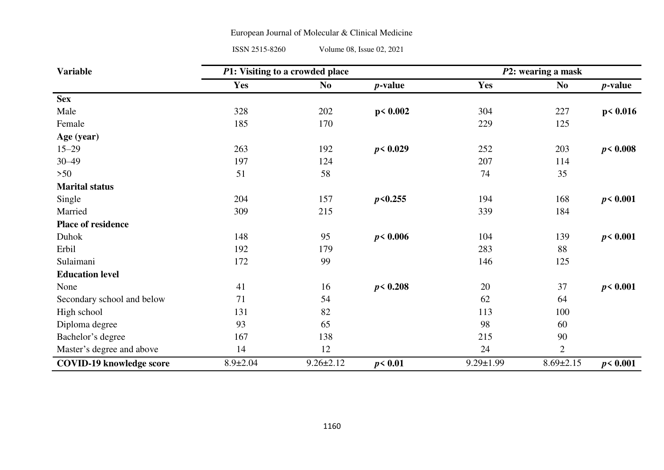ISSN 2515-8260 Volume 08, Issue 02, 2021

| <b>Variable</b>                 | P1: Visiting to a crowded place |                 |                 |                 | P2: wearing a mask |            |
|---------------------------------|---------------------------------|-----------------|-----------------|-----------------|--------------------|------------|
|                                 | Yes                             | N <sub>0</sub>  | <i>p</i> -value | Yes             | <b>No</b>          | $p$ -value |
| <b>Sex</b>                      |                                 |                 |                 |                 |                    |            |
| Male                            | 328                             | 202             | p < 0.002       | 304             | 227                | p < 0.016  |
| Female                          | 185                             | 170             |                 | 229             | 125                |            |
| Age (year)                      |                                 |                 |                 |                 |                    |            |
| $15 - 29$                       | 263                             | 192             | p < 0.029       | 252             | 203                | p < 0.008  |
| $30 - 49$                       | 197                             | 124             |                 | 207             | 114                |            |
| $>50$                           | 51                              | 58              |                 | 74              | 35                 |            |
| <b>Marital status</b>           |                                 |                 |                 |                 |                    |            |
| Single                          | 204                             | 157             | p<0.255         | 194             | 168                | p < 0.001  |
| Married                         | 309                             | 215             |                 | 339             | 184                |            |
| <b>Place of residence</b>       |                                 |                 |                 |                 |                    |            |
| Duhok                           | 148                             | 95              | p < 0.006       | 104             | 139                | p < 0.001  |
| Erbil                           | 192                             | 179             |                 | 283             | 88                 |            |
| Sulaimani                       | 172                             | 99              |                 | 146             | 125                |            |
| <b>Education level</b>          |                                 |                 |                 |                 |                    |            |
| None                            | 41                              | 16              | p < 0.208       | 20              | 37                 | p < 0.001  |
| Secondary school and below      | 71                              | 54              |                 | 62              | 64                 |            |
| High school                     | 131                             | 82              |                 | 113             | 100                |            |
| Diploma degree                  | 93                              | 65              |                 | 98              | 60                 |            |
| Bachelor's degree               | 167                             | 138             |                 | 215             | 90                 |            |
| Master's degree and above       | 14                              | 12              |                 | 24              | $\overline{2}$     |            |
| <b>COVID-19 knowledge score</b> | $8.9 \pm 2.04$                  | $9.26 \pm 2.12$ | p < 0.01        | $9.29 \pm 1.99$ | $8.69 \pm 2.15$    | p < 0.001  |